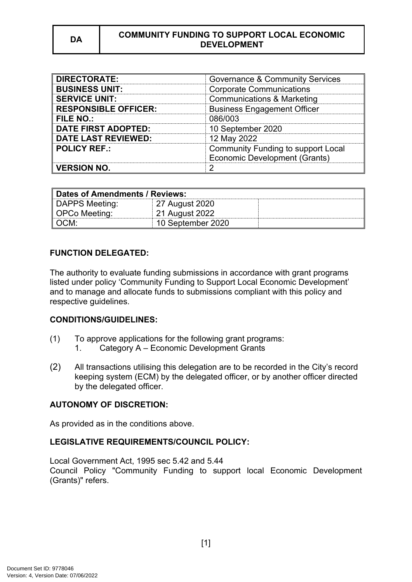| <b>DIRECTORATE:</b>         | <b>Governance &amp; Community Services</b> |  |
|-----------------------------|--------------------------------------------|--|
| <b>BUSINESS UNIT:</b>       | <b>Corporate Communications</b>            |  |
| <b>SERVICE UNIT:</b>        | <b>Communications &amp; Marketing</b>      |  |
| <b>RESPONSIBLE OFFICER:</b> | <b>Business Engagement Officer</b>         |  |
| <b>FILE NO.:</b>            | 086/003                                    |  |
| <b>DATE FIRST ADOPTED:</b>  | 10 September 2020                          |  |
| <b>DATE LAST REVIEWED:</b>  | 12 May 2022                                |  |
| <b>POLICY REF.:</b>         | Community Funding to support Local         |  |
|                             | Economic Development (Grants)              |  |
| <b>VERSION NO.</b>          |                                            |  |

| Dates of Amendments / Reviews: |                   |  |
|--------------------------------|-------------------|--|
| DAPPS Meeting:                 | 27 August 2020    |  |
| ∥ OPCo Meeting:                | 21 August 2022    |  |
| ∥ OCM:                         | 10 September 2020 |  |

## **FUNCTION DELEGATED:**

The authority to evaluate funding submissions in accordance with grant programs listed under policy 'Community Funding to Support Local Economic Development' and to manage and allocate funds to submissions compliant with this policy and respective guidelines.

### **CONDITIONS/GUIDELINES:**

- (1) To approve applications for the following grant programs:
	- 1. Category A Economic Development Grants
- (2) All transactions utilising this delegation are to be recorded in the City's record keeping system (ECM) by the delegated officer, or by another officer directed by the delegated officer.

# **AUTONOMY OF DISCRETION:**

As provided as in the conditions above.

### **LEGISLATIVE REQUIREMENTS/COUNCIL POLICY:**

Local Government Act, 1995 sec 5.42 and 5.44 Council Policy "Community Funding to support local Economic Development (Grants)" refers.